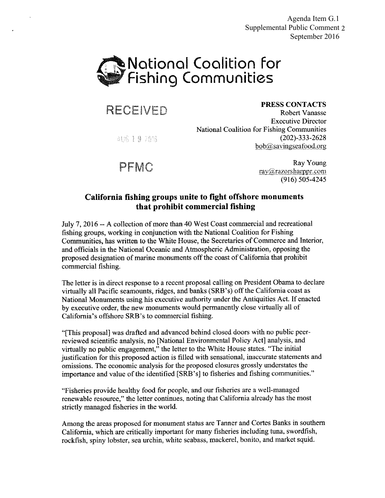Agenda Item G.1 Supplemental Public Comment 2 September 2016



RECEIVED

PRESS CONTACTS

AUG 19 2016

**Robert Vanasse Executive Director National Coalition for Fishing Communities**  $(202) - 333 - 2628$ bob@savingseafood.org

PFMC

Ray Young ray@razorsharppr.com  $(916) 505 - 4245$ 

# California fishing groups unite to fight offshore monuments that prohibit commercial fishing

July 7, 2016 -- A collection of more than 40 West Coast commercial and recreational fishing groups, working in conjunction with the National Coalition for Fishing Communities, has written to the White House, the Secretaries of Commerce and Interior, and officials in the National Oceanic and Atmospheric Administration, opposing the proposed designation of marine monuments off the coast of California that prohibit commercial fishing.

The letter is in direct response to a recent proposal calling on President Obama to declare virtually all Pacific seamounts, ridges, and banks (SRB's) off the California coast as National Monuments using his executive authority under the Antiquities Act. If enacted by executive order, the new monuments would permanently close virtually all of California's offshore SRB's to commercial fishing.

"[This proposal] was drafted and advanced behind closed doors with no public peerreviewed scientific analysis, no [National Environmental Policy Act] analysis, and virtually no public engagement," the letter to the White House states. "The initial justification for this proposed action is filled with sensational, inaccurate statements and omissions. The economic analysis for the proposed closures grossly understates the importance and value of the identified [SRB's] to fisheries and fishing communities."

"Fisheries provide healthy food for people, and our fisheries are a well-managed renewable resource," the letter continues, noting that California already has the most strictly managed fisheries in the world.

Among the areas proposed for monument status are Tanner and Cortes Banks in southern California, which are critically important for many fisheries including tuna, swordfish, rockfish, spiny lobster, sea urchin, white seabass, mackerel, bonito, and market squid.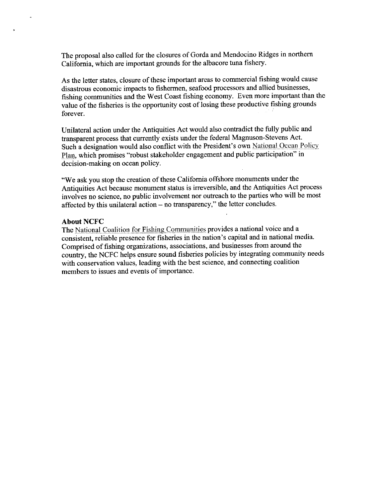The proposal also called for the closures of Gorda and Mendocino Ridges in northern California, which are important grounds for the albacore tuna fishery.

As the letter states, closure of these important areas to commercial fishing would cause disastrous economic impacts to fishermen, seafood processors and allied businesses, fishing communities and the West Coast fishing economy. Even more important than the value of the fisheries is the opportunity cost of losing these productive fishing grounds forever.

Unilateral action under the Antiquities Act would also contradict the fully public and transparent process that currently exists under the federal Magnuson-Stevens Act. Such a designation would also conflict with the President's own National Ocean Policy Plan, which promises "robust stakeholder engagement and public participation" in decision-making on ocean policy.

"We ask you stop the creation of these California offshore monuments under the Antiquities Act because monument status is irreversible, and the Antiquities Act process involves no science, no public involvement nor outreach to the parties who will be most affected by this unilateral action - no transparency," the letter concludes.

#### **About NCFC**

The National Coalition for Fishing Communities provides a national voice and a consistent, reliable presence for fisheries in the nation's capital and in national media. Comprised of fishing organizations, associations, and businesses from around the country, the NCFC helps ensure sound fisheries policies by integrating community needs with conservation values, leading with the best science, and connecting coalition members to issues and events of importance.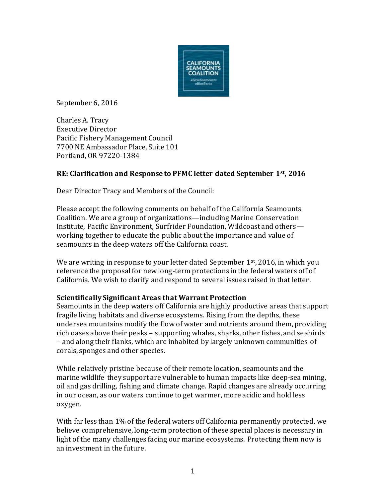

September 6, 2016

Charles A. Tracy Executive Director Pacific Fishery Management Council 7700 NE Ambassador Place, Suite 101 Portland, OR 97220-1384

# **RE: Clarification and Response to PFMC letter dated September 1st, 2016**

Dear Director Tracy and Members of the Council:

Please accept the following comments on behalf of the California Seamounts Coalition. We are a group of organizations—including Marine Conservation Institute, Pacific Environment, Surfrider Foundation, Wildcoast and others working together to educate the public about the importance and value of seamounts in the deep waters off the California coast.

We are writing in response to your letter dated September 1<sup>st</sup>, 2016, in which you reference the proposal for new long-term protections in the federal waters off of California. We wish to clarify and respond to several issues raised in that letter.

## **Scientifically Significant Areas that Warrant Protection**

Seamounts in the deep waters off California are highly productive areas that support fragile living habitats and diverse ecosystems. Rising from the depths, these undersea mountains modify the flow of water and nutrients around them, providing rich oases above their peaks – supporting whales, sharks, other fishes, and seabirds – and along their flanks, which are inhabited by largely unknown communities of corals, sponges and other species.

While relatively pristine because of their remote location, seamounts and the marine wildlife they support are vulnerable to human impacts like deep-sea mining, oil and gas drilling, fishing and climate change. Rapid changes are already occurring in our ocean, as our waters continue to get warmer, more acidic and hold less oxygen.

With far less than 1% of the federal waters off California permanently protected, we believe comprehensive, long-term protection of these special places is necessary in light of the many challenges facing our marine ecosystems. Protecting them now is an investment in the future.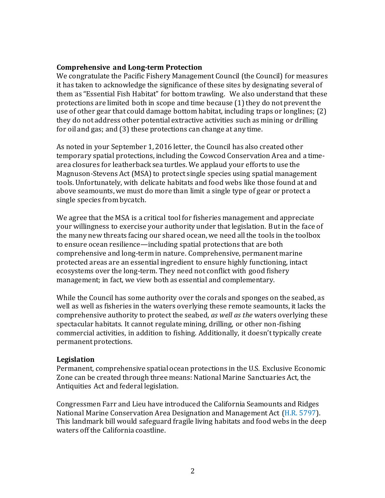### **Comprehensive and Long-term Protection**

We congratulate the Pacific Fishery Management Council (the Council) for measures it has taken to acknowledge the significance of these sites by designating several of them as "Essential Fish Habitat" for bottom trawling. We also understand that these protections are limited both in scope and time because (1) they do not prevent the use of other gear that could damage bottom habitat, including traps or longlines; (2) they do not address other potential extractive activities such as mining or drilling for oil and gas; and (3) these protections can change at any time.

As noted in your September 1, 2016 letter, the Council has also created other temporary spatial protections, including the Cowcod Conservation Area and a timearea closures for leatherback sea turtles. We applaud your efforts to use the Magnuson-Stevens Act (MSA) to protect single species using spatial management tools. Unfortunately, with delicate habitats and food webs like those found at and above seamounts, we must do more than limit a single type of gear or protect a single species from bycatch.

We agree that the MSA is a critical tool for fisheries management and appreciate your willingness to exercise your authority under that legislation. But in the face of the many new threats facing our shared ocean, we need all the tools in the toolbox to ensure ocean resilience—including spatial protections that are both comprehensive and long-term in nature. Comprehensive, permanent marine protected areas are an essential ingredient to ensure highly functioning, intact ecosystems over the long-term. They need not conflict with good fishery management; in fact, we view both as essential and complementary.

While the Council has some authority over the corals and sponges on the seabed, as well as well as fisheries in the waters overlying these remote seamounts, it lacks the comprehensive authority to protect the seabed, *as well as the* waters overlying these spectacular habitats. It cannot regulate mining, drilling, or other non-fishing commercial activities, in addition to fishing. Additionally, it doesn't typically create permanent protections.

### **Legislation**

Permanent, comprehensive spatial ocean protections in the U.S. Exclusive Economic Zone can be created through three means: National Marine Sanctuaries Act, the Antiquities Act and federal legislation.

Congressmen Farr and Lieu have introduced the California Seamounts and Ridges National Marine Conservation Area Designation and Management Act [\(H.R. 5797\)](http://farr.house.gov/images/pdf/California-Seamounts-Bill_FINAL.pdf). This landmark bill would safeguard fragile living habitats and food webs in the deep waters off the California coastline.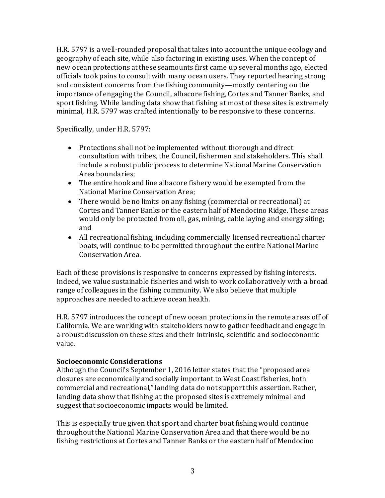H.R. 5797 is a well-rounded proposal that takes into account the unique ecology and geography of each site, while also factoring in existing uses. When the concept of new ocean protections at these seamounts first came up several months ago, elected officials took pains to consult with many ocean users. They reported hearing strong and consistent concerns from the fishing community—mostly centering on the importance of engaging the Council, albacore fishing, Cortes and Tanner Banks, and sport fishing. While landing data show that fishing at most of these sites is extremely minimal, H.R. 5797 was crafted intentionally to be responsive to these concerns.

Specifically, under H.R. 5797:

- Protections shall not be implemented without thorough and direct consultation with tribes, the Council, fishermen and stakeholders. This shall include a robust public process to determine National Marine Conservation Area boundaries;
- The entire hook and line albacore fishery would be exempted from the National Marine Conservation Area;
- There would be no limits on any fishing (commercial or recreational) at Cortes and Tanner Banks or the eastern half of Mendocino Ridge. These areas would only be protected from oil, gas, mining, cable laying and energy siting; and
- All recreational fishing, including commercially licensed recreational charter boats, will continue to be permitted throughout the entire National Marine Conservation Area.

Each of these provisions is responsive to concerns expressed by fishing interests. Indeed, we value sustainable fisheries and wish to work collaboratively with a broad range of colleagues in the fishing community. We also believe that multiple approaches are needed to achieve ocean health.

H.R. 5797 introduces the concept of new ocean protections in the remote areas off of California. We are working with stakeholders now to gather feedback and engage in a robust discussion on these sites and their intrinsic, scientific and socioeconomic value.

## **Socioeconomic Considerations**

Although the Council's September 1, 2016 letter states that the "proposed area closures are economically and socially important to West Coast fisheries, both commercial and recreational," landing data do not support this assertion. Rather, landing data show that fishing at the proposed sites is extremely minimal and suggest that socioeconomic impacts would be limited.

This is especially true given that sport and charter boat fishing would continue throughout the National Marine Conservation Area and that there would be no fishing restrictions at Cortes and Tanner Banks or the eastern half of Mendocino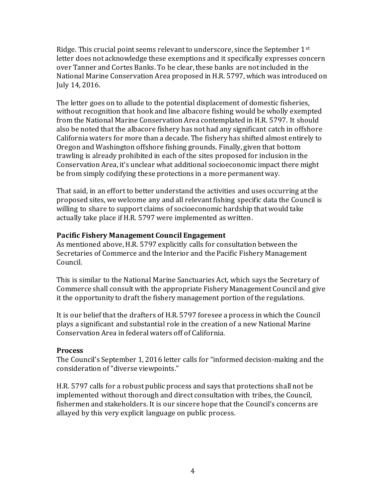Ridge. This crucial point seems relevant to underscore, since the September 1st letter does not acknowledge these exemptions and it specifically expresses concern over Tanner and Cortes Banks. To be clear, these banks are not included in the National Marine Conservation Area proposed in H.R. 5797, which was introduced on July 14, 2016.

The letter goes on to allude to the potential displacement of domestic fisheries, without recognition that hook and line albacore fishing would be wholly exempted from the National Marine Conservation Area contemplated in H.R. 5797. It should also be noted that the albacore fishery has not had any significant catch in offshore California waters for more than a decade. The fishery has shifted almost entirely to Oregon and Washington offshore fishing grounds. Finally, given that bottom trawling is already prohibited in each of the sites proposed for inclusion in the Conservation Area, it's unclear what additional socioeconomic impact there might be from simply codifying these protections in a more permanent way.

That said, in an effort to better understand the activities and uses occurring at the proposed sites, we welcome any and all relevant fishing specific data the Council is willing to share to support claims of socioeconomic hardship that would take actually take place if H.R. 5797 were implemented as written.

# **Pacific Fishery Management Council Engagement**

As mentioned above, H.R. 5797 explicitly calls for consultation between the Secretaries of Commerce and the Interior and the Pacific Fishery Management Council.

This is similar to the National Marine Sanctuaries Act, which says the Secretary of Commerce shall consult with the appropriate Fishery Management Council and give it the opportunity to draft the fishery management portion of the regulations.

It is our belief that the drafters of H.R. 5797 foresee a process in which the Council plays a significant and substantial role in the creation of a new National Marine Conservation Area in federal waters off of California.

# **Process**

The Council's September 1, 2016 letter calls for "informed decision-making and the consideration of "diverse viewpoints."

H.R. 5797 calls for a robust public process and says that protections shall not be implemented without thorough and direct consultation with tribes, the Council, fishermen and stakeholders. It is our sincere hope that the Council's concerns are allayed by this very explicit language on public process.